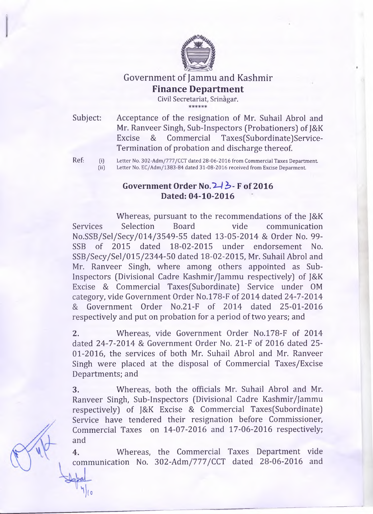

## Government of Jammu and Kashmir **Finance Department**

**Civil Secretariat, Srinagaf.**

Subject: Acceptance of the resignation of Mr. Suhail Abrol and Mr. Ranveer Singh, Sub-Inspectors (Probationers] of J&K Excise & Commercial Taxes(Subordinate]Service-Termination of probation and discharge thereof.

**Ref: (i) Letter No. 302-Adm/777/CCT dated 28-06-2016 from Commercial Taxes Department,** Letter No. EC/Adm/1383-84 dated 31-08-2016 received from Excise Deparment.

## **Government Order No.I - /** *b -* **F of 2016 Dated: 04-10-2016**

Whereas, pursuant to the recommendations of the J&K Services Selection Board vide communication No.SSB/Sel/Secy/014/3549-55 dated 13-05-2014 & Order No. 99- SSB of 2015 dated 18-02-2015 under endorsement No. SSB/Secy/Sel/015/2344-50 dated 18-02-2015, Mr. Suhail Abrol and Mr. Ranveer Singh, where among others appointed as Sub-Inspectors (Divisional Cadre Kashmir/Jammu respectively] of J&K Excise & Commercial Taxes(Subordinate] Service under OM category, vide Government Order No.l78-F of 2014 dated 24-7-2014 & Government Order No.21-F of 2014 dated 25-01-2016 respectively and put on probation for a period of two years; and

**2.** Whereas, vide Government Order No.l78-F of 2014 dated 24-7-2014 & Government Order No. 21-F of 2016 dated 25 01-2016, the services of both Mr. Suhail Abrol and Mr. Ranveer Singh were placed at the disposal of Commercial Taxes/Excise Departments; and

3. Whereas, both the officials Mr. Suhail Abrol and Mr. Ranveer Singh, Sub-Inspectors (Divisional Cadre Kashmir/Jammu respectively] of J&K Excise & Commercial Taxes(Subordinate] Service have tendered their resignation before Commissioner, Commercial Taxes on 14-07-2016 and 17-06-2016 respectively; and

**4.** Whereas, the Commercial Taxes Department vide communication No. 302-Adm/777/CCT dated 28-06-2016 and

**^jlo**